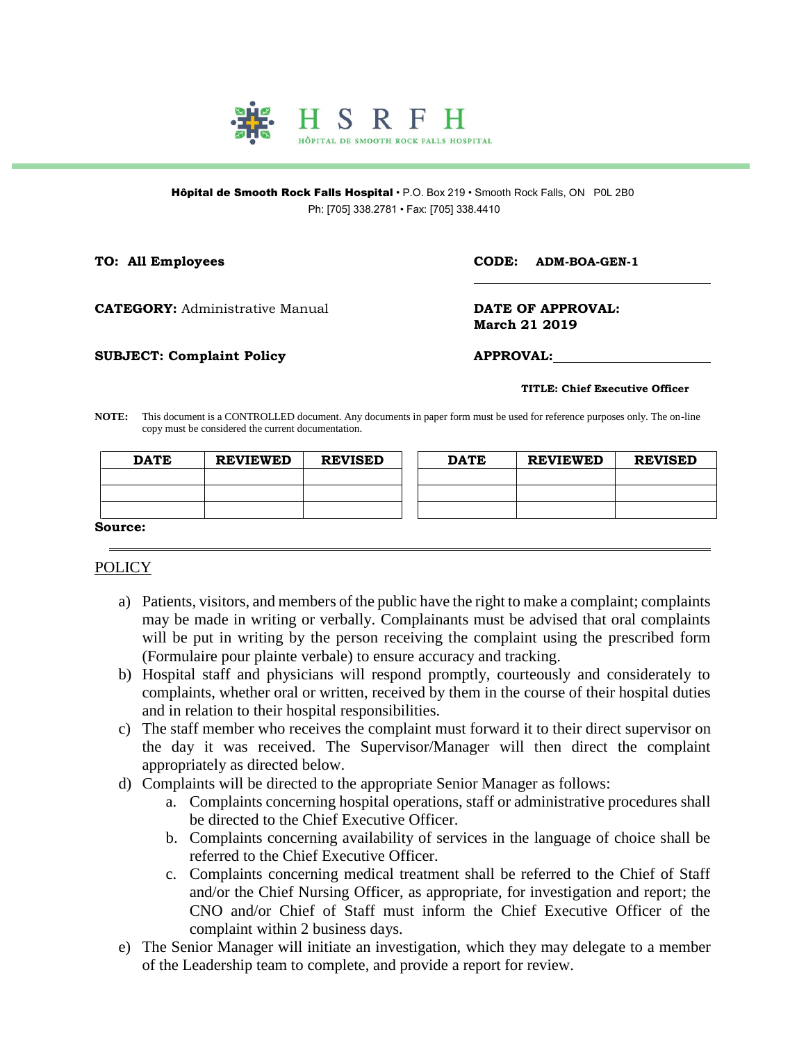

Hôpital de Smooth Rock Falls Hospital · P.O. Box 219 · Smooth Rock Falls, ON P0L 2B0 Ph: [705] 338.2781 • Fax: [705] 338.4410

**TO: All Employees CODE: ADM-BOA-GEN-1**

**CATEGORY:** Administrative Manual **DATE OF APPROVAL:** 

**March 21 2019**

**SUBJECT: Complaint Policy APPROVAL:**

## **TITLE: Chief Executive Officer**

**NOTE:** This document is a CONTROLLED document. Any documents in paper form must be used for reference purposes only. The on-line copy must be considered the current documentation.

| <b>DATE</b>    | <b>REVIEWED</b> | <b>REVISED</b> | <b>DATE</b> | <b>REVIEWED</b> | <b>REVISED</b> |
|----------------|-----------------|----------------|-------------|-----------------|----------------|
|                |                 |                |             |                 |                |
|                |                 |                |             |                 |                |
|                |                 |                |             |                 |                |
| <b>Source:</b> |                 |                |             |                 |                |

## **POLICY**

- a) Patients, visitors, and members of the public have the right to make a complaint; complaints may be made in writing or verbally. Complainants must be advised that oral complaints will be put in writing by the person receiving the complaint using the prescribed form (Formulaire pour plainte verbale) to ensure accuracy and tracking.
- b) Hospital staff and physicians will respond promptly, courteously and considerately to complaints, whether oral or written, received by them in the course of their hospital duties and in relation to their hospital responsibilities.
- c) The staff member who receives the complaint must forward it to their direct supervisor on the day it was received. The Supervisor/Manager will then direct the complaint appropriately as directed below.
- d) Complaints will be directed to the appropriate Senior Manager as follows:
	- a. Complaints concerning hospital operations, staff or administrative procedures shall be directed to the Chief Executive Officer.
	- b. Complaints concerning availability of services in the language of choice shall be referred to the Chief Executive Officer.
	- c. Complaints concerning medical treatment shall be referred to the Chief of Staff and/or the Chief Nursing Officer, as appropriate, for investigation and report; the CNO and/or Chief of Staff must inform the Chief Executive Officer of the complaint within 2 business days.
- e) The Senior Manager will initiate an investigation, which they may delegate to a member of the Leadership team to complete, and provide a report for review.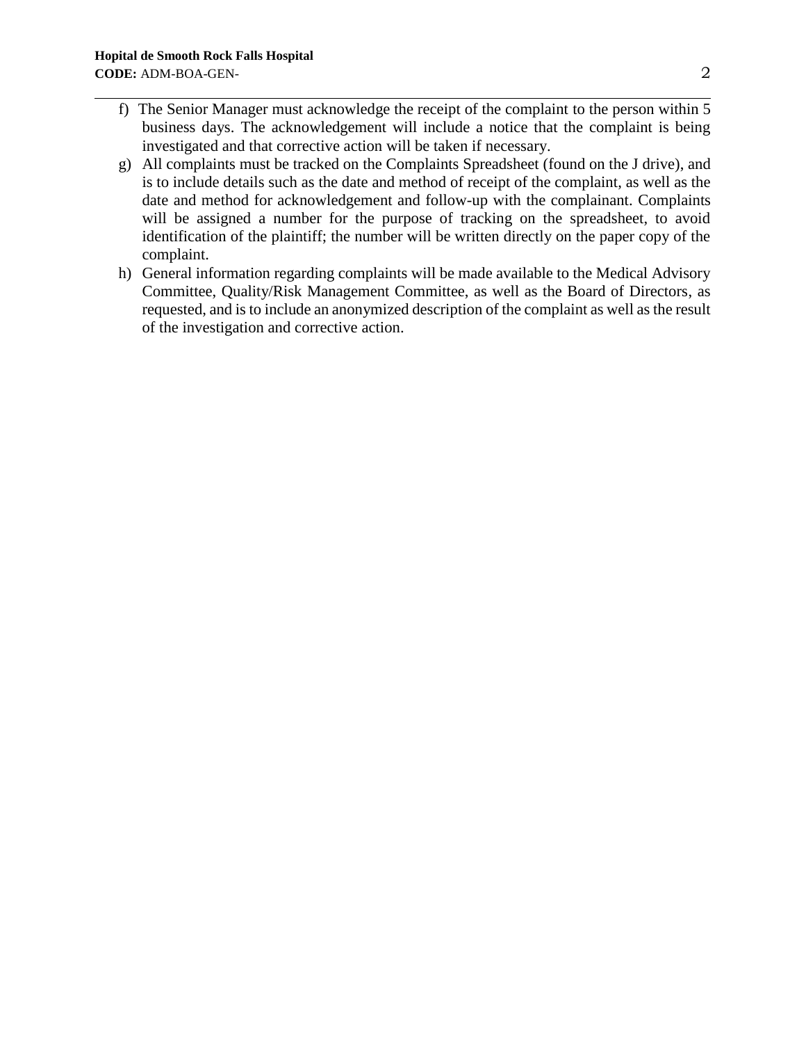- f) The Senior Manager must acknowledge the receipt of the complaint to the person within 5 business days. The acknowledgement will include a notice that the complaint is being investigated and that corrective action will be taken if necessary.
- g) All complaints must be tracked on the Complaints Spreadsheet (found on the J drive), and is to include details such as the date and method of receipt of the complaint, as well as the date and method for acknowledgement and follow-up with the complainant. Complaints will be assigned a number for the purpose of tracking on the spreadsheet, to avoid identification of the plaintiff; the number will be written directly on the paper copy of the complaint.
- h) General information regarding complaints will be made available to the Medical Advisory Committee, Quality/Risk Management Committee, as well as the Board of Directors, as requested, and is to include an anonymized description of the complaint as well as the result of the investigation and corrective action.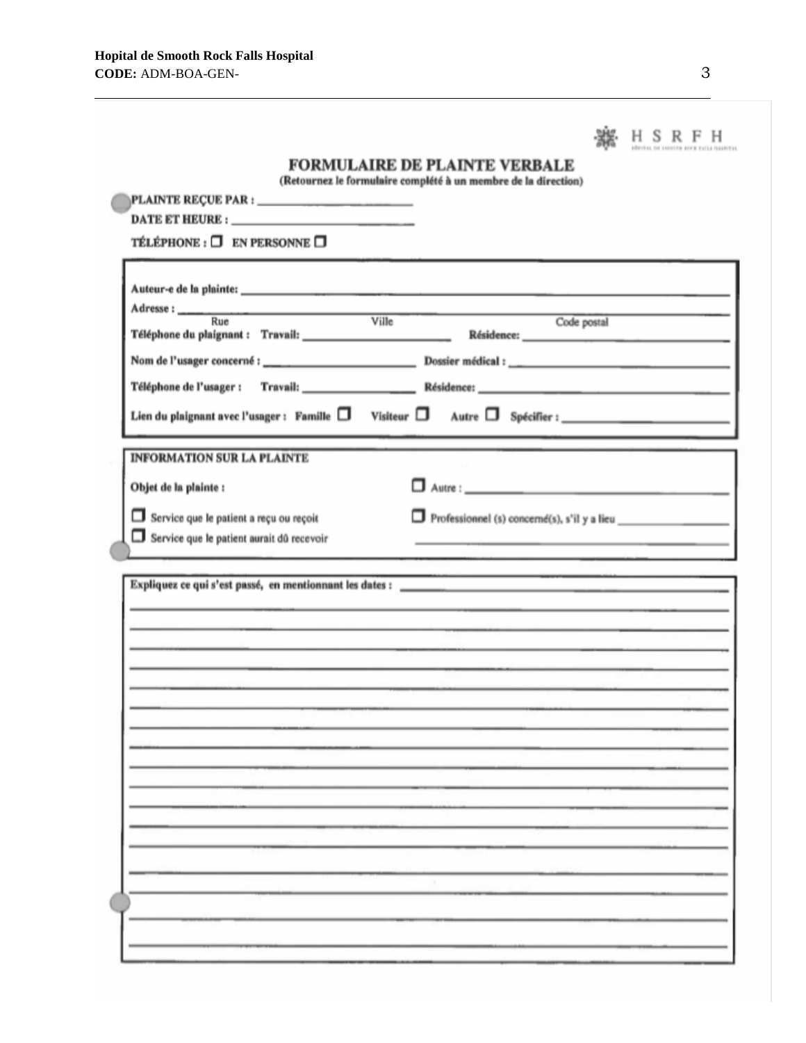|                                                                                                                                                                                                                                                                                                                                                                       | SRF |
|-----------------------------------------------------------------------------------------------------------------------------------------------------------------------------------------------------------------------------------------------------------------------------------------------------------------------------------------------------------------------|-----|
| <b>FORMULAIRE DE PLAINTE VERBALE</b>                                                                                                                                                                                                                                                                                                                                  |     |
| (Retournez le formulaire complété à un membre de la direction)<br>PLAINTE REÇUE PAR : __________________________                                                                                                                                                                                                                                                      |     |
|                                                                                                                                                                                                                                                                                                                                                                       |     |
| TÉLÉPHONE : $\Box$ EN PERSONNE $\Box$                                                                                                                                                                                                                                                                                                                                 |     |
|                                                                                                                                                                                                                                                                                                                                                                       |     |
|                                                                                                                                                                                                                                                                                                                                                                       |     |
| Code postal                                                                                                                                                                                                                                                                                                                                                           |     |
|                                                                                                                                                                                                                                                                                                                                                                       |     |
|                                                                                                                                                                                                                                                                                                                                                                       |     |
|                                                                                                                                                                                                                                                                                                                                                                       |     |
|                                                                                                                                                                                                                                                                                                                                                                       |     |
| <b>INFORMATION SUR LA PLAINTE</b>                                                                                                                                                                                                                                                                                                                                     |     |
| Objet de la plainte :                                                                                                                                                                                                                                                                                                                                                 |     |
|                                                                                                                                                                                                                                                                                                                                                                       |     |
| Service que le patient a reçu ou reçoit<br>Professionnel (s) concerné(s), s'il y a lieu<br>Service que le patient aurait dû recevoir<br>the control of the control of the control of the control of the control of the control of the control of the control of the control of the control of the control of the control of the control of the control of the control |     |
|                                                                                                                                                                                                                                                                                                                                                                       |     |
|                                                                                                                                                                                                                                                                                                                                                                       |     |
| <u> 1989 - Andrea Santa Andrea Andrea Andrea Andrea Andrea Andrea Andrea Andrea Andrea Andrea Andrea Andrea Andr</u>                                                                                                                                                                                                                                                  |     |
| the contract of the second contract of the contract of the contract of the contract of the contract of the contract of                                                                                                                                                                                                                                                |     |
| <u> 1990 - Andrea Alemania (h. 1980).</u><br>Artista de Andrea Alemania (h. 1980).<br><u> 1989 - An Aontaithe ann an Cathair ann an t-an Aontaithe ann an Cathair an Chuidhean ann an t-an Aontaithe an</u>                                                                                                                                                           |     |
| and a supervision of the contract of the contract of the contract of the contract of the contract of the contract of the contract of the contract of the contract of the contract of the contract of the contract of the contr                                                                                                                                        |     |
|                                                                                                                                                                                                                                                                                                                                                                       |     |
|                                                                                                                                                                                                                                                                                                                                                                       |     |
|                                                                                                                                                                                                                                                                                                                                                                       |     |
|                                                                                                                                                                                                                                                                                                                                                                       |     |
|                                                                                                                                                                                                                                                                                                                                                                       |     |
|                                                                                                                                                                                                                                                                                                                                                                       |     |
|                                                                                                                                                                                                                                                                                                                                                                       |     |
|                                                                                                                                                                                                                                                                                                                                                                       |     |
|                                                                                                                                                                                                                                                                                                                                                                       |     |
|                                                                                                                                                                                                                                                                                                                                                                       |     |
|                                                                                                                                                                                                                                                                                                                                                                       |     |